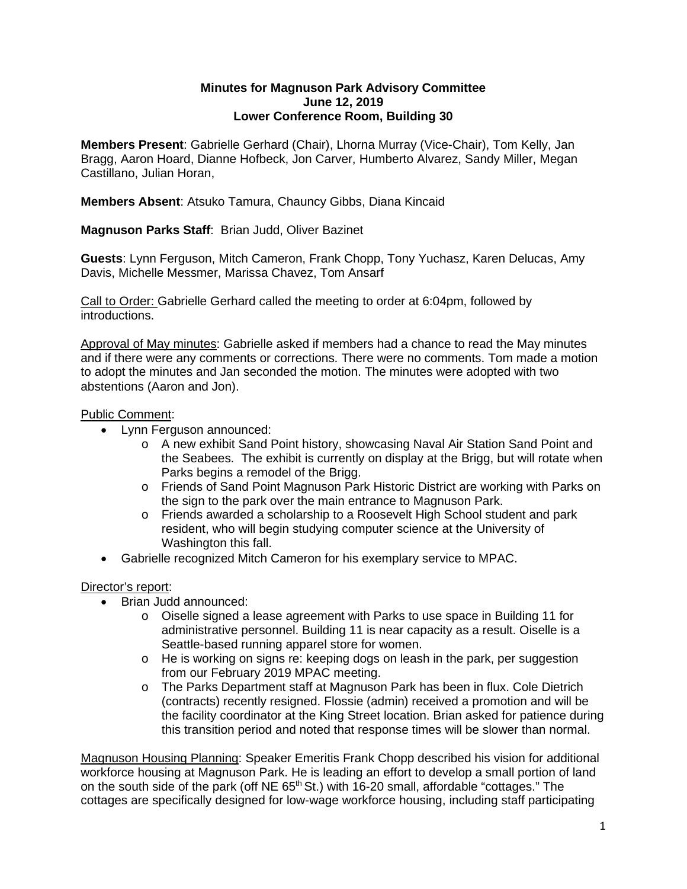## **Minutes for Magnuson Park Advisory Committee June 12, 2019 Lower Conference Room, Building 30**

**Members Present**: Gabrielle Gerhard (Chair), Lhorna Murray (Vice-Chair), Tom Kelly, Jan Bragg, Aaron Hoard, Dianne Hofbeck, Jon Carver, Humberto Alvarez, Sandy Miller, Megan Castillano, Julian Horan,

**Members Absent**: Atsuko Tamura, Chauncy Gibbs, Diana Kincaid

**Magnuson Parks Staff**: Brian Judd, Oliver Bazinet

**Guests**: Lynn Ferguson, Mitch Cameron, Frank Chopp, Tony Yuchasz, Karen Delucas, Amy Davis, Michelle Messmer, Marissa Chavez, Tom Ansarf

Call to Order: Gabrielle Gerhard called the meeting to order at 6:04pm, followed by introductions.

Approval of May minutes: Gabrielle asked if members had a chance to read the May minutes and if there were any comments or corrections. There were no comments. Tom made a motion to adopt the minutes and Jan seconded the motion. The minutes were adopted with two abstentions (Aaron and Jon).

## Public Comment:

- Lynn Ferguson announced:
	- o A new exhibit Sand Point history, showcasing Naval Air Station Sand Point and the Seabees. The exhibit is currently on display at the Brigg, but will rotate when Parks begins a remodel of the Brigg.
	- o Friends of Sand Point Magnuson Park Historic District are working with Parks on the sign to the park over the main entrance to Magnuson Park.
	- o Friends awarded a scholarship to a Roosevelt High School student and park resident, who will begin studying computer science at the University of Washington this fall.
- Gabrielle recognized Mitch Cameron for his exemplary service to MPAC.

## Director's report:

- Brian Judd announced:
	- $\circ$  Oiselle signed a lease agreement with Parks to use space in Building 11 for administrative personnel. Building 11 is near capacity as a result. Oiselle is a Seattle-based running apparel store for women.
	- o He is working on signs re: keeping dogs on leash in the park, per suggestion from our February 2019 MPAC meeting.
	- o The Parks Department staff at Magnuson Park has been in flux. Cole Dietrich (contracts) recently resigned. Flossie (admin) received a promotion and will be the facility coordinator at the King Street location. Brian asked for patience during this transition period and noted that response times will be slower than normal.

Magnuson Housing Planning: Speaker Emeritis Frank Chopp described his vision for additional workforce housing at Magnuson Park. He is leading an effort to develop a small portion of land on the south side of the park (off  $NE 65<sup>th</sup> St.$ ) with 16-20 small, affordable "cottages." The cottages are specifically designed for low-wage workforce housing, including staff participating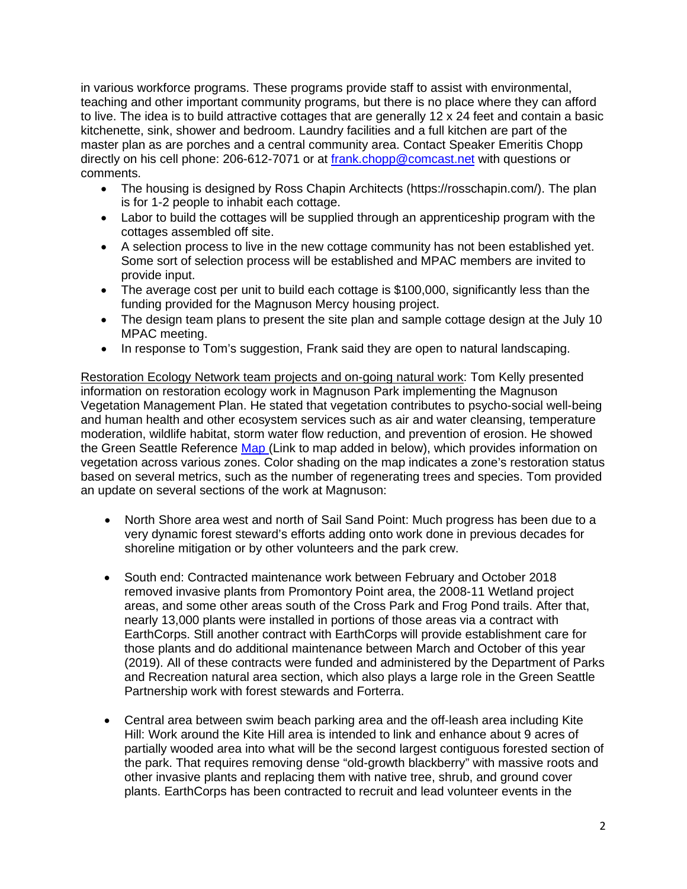in various workforce programs. These programs provide staff to assist with environmental, teaching and other important community programs, but there is no place where they can afford to live. The idea is to build attractive cottages that are generally 12 x 24 feet and contain a basic kitchenette, sink, shower and bedroom. Laundry facilities and a full kitchen are part of the master plan as are porches and a central community area. Contact Speaker Emeritis Chopp directly on his cell phone: 206-612-7071 or at [frank.chopp@comcast.net](mailto:frank.chopp@comcast.net) with questions or comments.

- The housing is designed by Ross Chapin Architects (https://rosschapin.com/). The plan is for 1-2 people to inhabit each cottage.
- Labor to build the cottages will be supplied through an apprenticeship program with the cottages assembled off site.
- A selection process to live in the new cottage community has not been established yet. Some sort of selection process will be established and MPAC members are invited to provide input.
- The average cost per unit to build each cottage is \$100,000, significantly less than the funding provided for the Magnuson Mercy housing project.
- The design team plans to present the site plan and sample cottage design at the July 10 MPAC meeting.
- In response to Tom's suggestion, Frank said they are open to natural landscaping.

Restoration Ecology Network team projects and on-going natural work: Tom Kelly presented information on restoration ecology work in Magnuson Park implementing the Magnuson Vegetation Management Plan. He stated that vegetation contributes to psycho-social well-being and human health and other ecosystem services such as air and water cleansing, temperature moderation, wildlife habitat, storm water flow reduction, and prevention of erosion. He showed the Green Seattle Reference [Map](https://www.greenseattle.org/information-for/forest-steward-resources/gsp-restoration-map/) (Link to map added in below), which provides information on vegetation across various zones. Color shading on the map indicates a zone's restoration status based on several metrics, such as the number of regenerating trees and species. Tom provided an update on several sections of the work at Magnuson:

- North Shore area west and north of Sail Sand Point: Much progress has been due to a very dynamic forest steward's efforts adding onto work done in previous decades for shoreline mitigation or by other volunteers and the park crew.
- South end: Contracted maintenance work between February and October 2018 removed invasive plants from Promontory Point area, the 2008-11 Wetland project areas, and some other areas south of the Cross Park and Frog Pond trails. After that, nearly 13,000 plants were installed in portions of those areas via a contract with EarthCorps. Still another contract with EarthCorps will provide establishment care for those plants and do additional maintenance between March and October of this year (2019). All of these contracts were funded and administered by the Department of Parks and Recreation natural area section, which also plays a large role in the Green Seattle Partnership work with forest stewards and Forterra.
- Central area between swim beach parking area and the off-leash area including Kite Hill: Work around the Kite Hill area is intended to link and enhance about 9 acres of partially wooded area into what will be the second largest contiguous forested section of the park. That requires removing dense "old-growth blackberry" with massive roots and other invasive plants and replacing them with native tree, shrub, and ground cover plants. EarthCorps has been contracted to recruit and lead volunteer events in the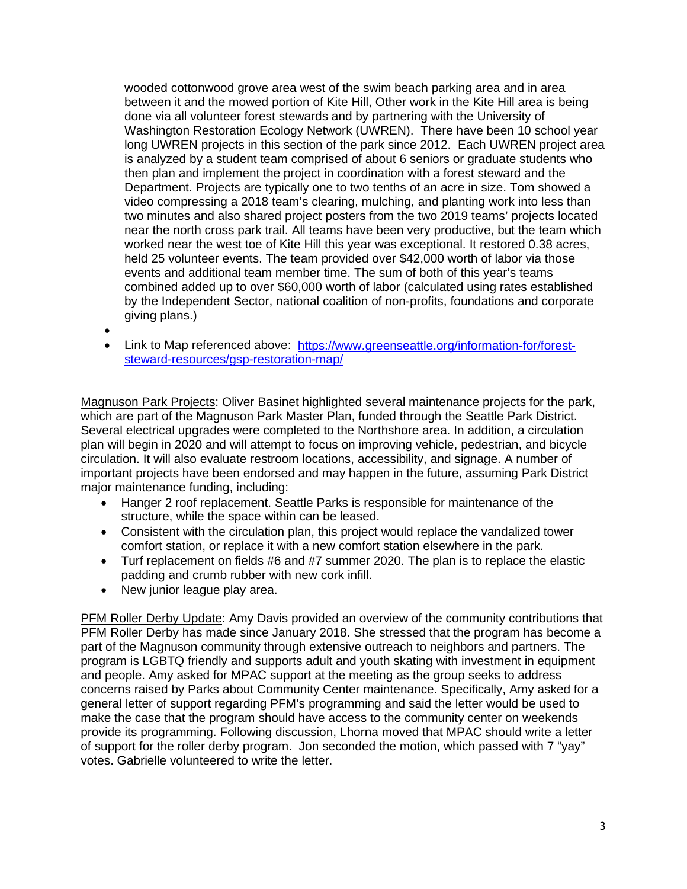wooded cottonwood grove area west of the swim beach parking area and in area between it and the mowed portion of Kite Hill, Other work in the Kite Hill area is being done via all volunteer forest stewards and by partnering with the University of Washington Restoration Ecology Network (UWREN). There have been 10 school year long UWREN projects in this section of the park since 2012. Each UWREN project area is analyzed by a student team comprised of about 6 seniors or graduate students who then plan and implement the project in coordination with a forest steward and the Department. Projects are typically one to two tenths of an acre in size. Tom showed a video compressing a 2018 team's clearing, mulching, and planting work into less than two minutes and also shared project posters from the two 2019 teams' projects located near the north cross park trail. All teams have been very productive, but the team which worked near the west toe of Kite Hill this year was exceptional. It restored 0.38 acres, held 25 volunteer events. The team provided over \$42,000 worth of labor via those events and additional team member time. The sum of both of this year's teams combined added up to over \$60,000 worth of labor (calculated using rates established by the Independent Sector, national coalition of non-profits, foundations and corporate giving plans.)

- •
- Link to Map referenced above: [https://www.greenseattle.org/information-for/forest](https://www.greenseattle.org/information-for/forest-steward-resources/gsp-restoration-map/)[steward-resources/gsp-restoration-map/](https://www.greenseattle.org/information-for/forest-steward-resources/gsp-restoration-map/)

Magnuson Park Projects: Oliver Basinet highlighted several maintenance projects for the park, which are part of the Magnuson Park Master Plan, funded through the Seattle Park District. Several electrical upgrades were completed to the Northshore area. In addition, a circulation plan will begin in 2020 and will attempt to focus on improving vehicle, pedestrian, and bicycle circulation. It will also evaluate restroom locations, accessibility, and signage. A number of important projects have been endorsed and may happen in the future, assuming Park District major maintenance funding, including:

- Hanger 2 roof replacement. Seattle Parks is responsible for maintenance of the structure, while the space within can be leased.
- Consistent with the circulation plan, this project would replace the vandalized tower comfort station, or replace it with a new comfort station elsewhere in the park.
- Turf replacement on fields #6 and #7 summer 2020. The plan is to replace the elastic padding and crumb rubber with new cork infill.
- New junior league play area.

PFM Roller Derby Update: Amy Davis provided an overview of the community contributions that PFM Roller Derby has made since January 2018. She stressed that the program has become a part of the Magnuson community through extensive outreach to neighbors and partners. The program is LGBTQ friendly and supports adult and youth skating with investment in equipment and people. Amy asked for MPAC support at the meeting as the group seeks to address concerns raised by Parks about Community Center maintenance. Specifically, Amy asked for a general letter of support regarding PFM's programming and said the letter would be used to make the case that the program should have access to the community center on weekends provide its programming. Following discussion, Lhorna moved that MPAC should write a letter of support for the roller derby program. Jon seconded the motion, which passed with 7 "yay" votes. Gabrielle volunteered to write the letter.